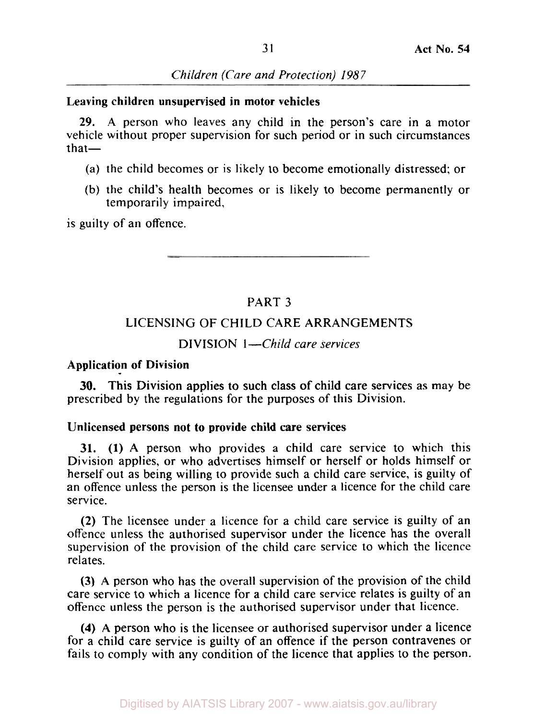#### **Leaving children unsupervised in motor vehicles**

**29.** A person who leaves any child in the person's care in a motor vehicle without proper supervision for such period or in such circumstances that-

- (a) the child becomes or is likely to become emotionally distressed; or
- (b) the child's health becomes or is likely to become permanently or temporarily impaired,

is guilty of an offence.

# PART **3**

## LICENSING OF CHILD CARE ARRANGEMENTS

### DIVISION 1-Child care services

#### **Application of Division**

prescribed by the regulations for the purposes of this Division. **30.** This Division applies to such class of child care services as may be

#### **Unlicensed persons not to provide child care services**

**31. (1)** A person who provides a child care service to which this Division applies, or who advertises himself or herself or holds himself or herself out as being willing to provide such **a** child care service, is guilty of an offence unless the person is the licensee under a licence for the child care service.

**(2)** The licensee under a licence for a child care service is guilty of an offence unless the authorised supervisor under the licence has the overall supervision of the provision of the child care service to which the licence relates.

**(3)** A person who has the overall supervision of the provision of the child care service to which a licence for a child care service relates is guilty of an offence unless the person is the authorised supervisor under that licence.

**(4) A** person who is the licensee or authorised supervisor under a licence for **a** child care service is guilty of an offence if the person contravenes or fails to comply with any condition of the licence that applies to the person.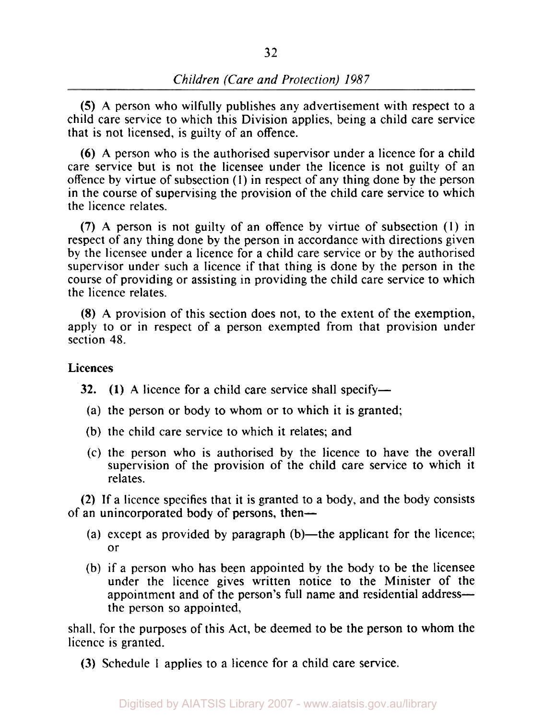*(5)* A person who wilfully publishes any advertisement with respect to a child care service to which this Division applies, being a child care service that is not licensed, is guilty of an offence.

*(6)* A person who is the authorised supervisor under a licence for a child care service but is not the licensee under the licence is not guilty of an offence by virtue of subsection **(1)** in respect of any thing done by the person in the course of supervising the provision of the child care service to which the licence relates.

**(7)** A person is not guilty of an offence by virtue of subsection (1) in respect of any thing done by the person in accordance with directions given by the licensee under a licence for a child care service or by the authorised supervisor under such a licence if that thing is done by the person in the course of providing or assisting in providing the child care service to which the licence relates.

**(8)** A provision of this section does not, to the extent of the exemption, apply to or in respect of a person exempted from that provision under section **48.** 

### **Licences**

**32.** (1) A licence for a child care service shall specify—

- (a) the person or body to whom or to which it is granted;
- (b) the child care service to which it relates; and
- (c) the person who is authorised by the licence to have the overall supervision of the provision of the child care service to which it relates.

**(2)** If a licence specifies that it is granted to a body, and the body consists of an unincorporated body of persons, then-

- (a) except as provided by paragraph  $(b)$ —the applicant for the licence; or
- (b) if a person who has been appointed by the body to be the licensee under the licence gives written notice *to* the Minister of the appointment and of the person's full name and residential addressthe person so appointed,

shall, for the purposes of this Act, be deemed to be the person to whom the licence is granted.

**(3)** Schedule 1 applies to a licence for a child care service.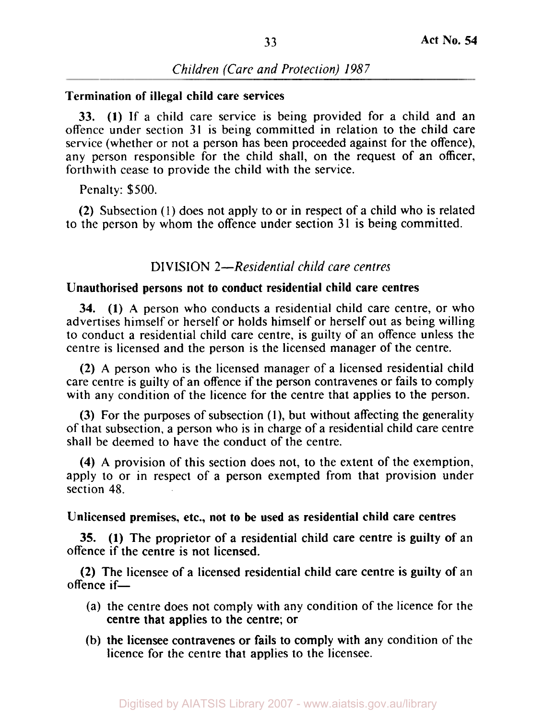# **Termination of illegal child care services**

**33. (1)** If a child care service is being provided for a child and an offence under section 31 is being committed in relation to the child care service (whether or not a person has been proceeded against for the offence), any person responsible for the child shall, on the request of an officer, forthwith cease to provide the child with the service.

Penalty: \$500.

(2) Subsection **(1)** does not apply to or in respect of a child who is related to the person by whom the offence under section 31 is being committed.

# **DIVISION** *2-Residential child care centres*

## **Unauthorised persons not to conduct residential child care centres**

**34. (1) A** person who conducts a residential child care centre, or who advertises himself or herself or holds himself or herself out as being willing to conduct a residential child care centre, is guilty of an offence unless the centre is licensed and the person is the licensed manager of the centre.

(2) **A** person who is the licensed manager of a licensed residential child care centre is guilty of an offence if the person contravenes or fails to comply with any condition of the licence for the centre that applies to the person.

**(3)** For the purposes of subsection (I), but without affecting the generality of that subsection, a person who is in charge of a residential child care centre shall be deemed to have the conduct of the centre.

**(4) A** provision of this section does not, to the extent of the exemption, apply to or in respect of a person exempted from that provision under section **48.** 

## **Unlicensed premises, etc., not to be used as residential child care centres**

offence if the centre is not licensed. **35. (1)** The proprietor of a residential child care centre is guilty of an

offence if-(2) The licensee of a licensed residential child care centre is guilty of an

- (a) the centre does not comply with any condition of the licence for the centre that applies to the centre; or
- (b) the licensee contravenes or fails to comply with any condition of the licence for the centre that applies to the licensee.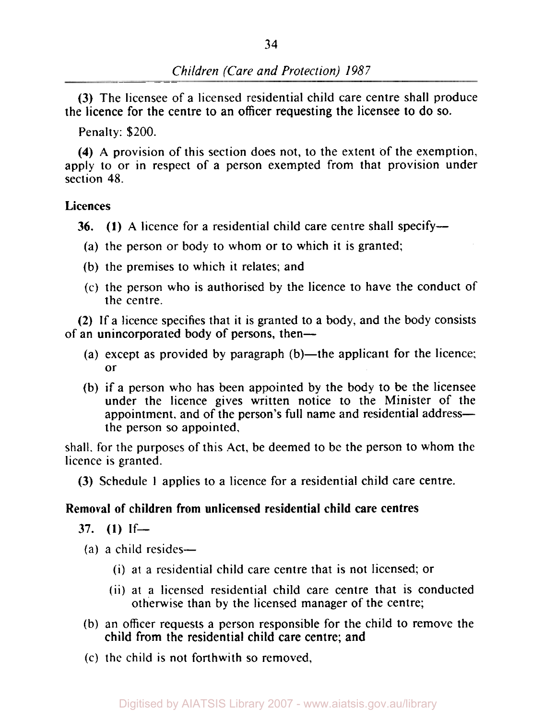(3) The licensee of a licensed residential child care centre shall produce the licence for the centre to an officer requesting the licensee to do so.

Penalty: \$200.

**(4)** A provision of this section does not, to the extent of the exemption, apply to or in respect of a person exempted from that provision under section 48.

## **Licences**

**36. (1)** A licence for a residential child care centre shall specify-

- (a) the person or body to whom or to which it is granted;
- (b) the premises to which it relates; and
- (c) the person who is authorised by the licence to have the conduct of the centre.

(2) If a licence specifies that it is granted to a body, and the body consists of an unincorporated body of persons, then-

- (a) except as provided by paragraph  $(b)$ —the applicant for the licence; or
- (b) if a person who has been appointed by the body to be the licensee under the licence gives written notice to the Minister of the appointment, and of the person's full name and residential addressthe person so appointed,

shall. for the purposes of this Act, be deemed to be the person to whom the licence is granted.

(3) Schedule **1** applies to a licence for a residential child care centre.

# **Removal of children from unlicensed residential child care centres**

 $37.$  **(1)**  $If$ 

- $(a)$  a child resides—
	- (i) at a residential child care centre that is not licensed; or
	- (ii) at a licensed residential child care centre that is conducted otherwise than by the licensed manager of the centre;
- (b) an officer requests a person responsible for the child to remove the child from the residential child care centre; and
- (c) the child is not forthwith so removed,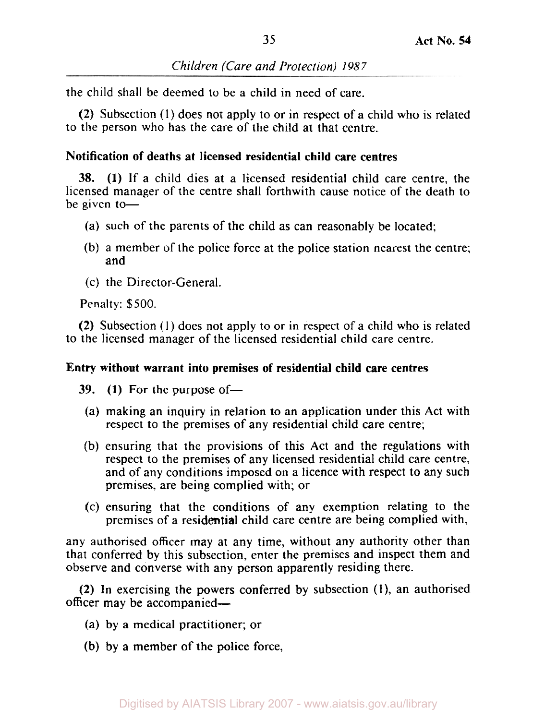the child shall be deemed to be a child in need of care.

**(2)** Subsection (1) does not apply to or in respect of a child who is related to the person who has the care of the child at that centre.

# **Notification of deaths at licensed residential child care centres**

**38. (1)** If a child dies at a licensed residential child care centre, the licensed manager of the centre shall forthwith cause notice of the death to be given to $-$ 

- (a) such of the parents of the child as can reasonably be located;
- (b) a member of the police force at the police station nearest the centre; and
- (c) the Director-General.

Penalty: \$500.

**(2)** Subsection (1) does not apply to or in respect of a child who is related to the licensed manager of the licensed residential child care centre.

# **Entry without warrant into premises of residential child care centres**

**39.** (1) For the purpose of-

- (a) making an inquiry in relation to an application under this Act with respect to the premises of any residential child care centre;
- (b) ensuring that the provisions of this Act and the regulations with respect to the premises of any licensed residential child care centre, and of any conditions imposed on a licence with respect to any such premises, are being complied with; or
- (c) ensuring that the conditions of any exemption relating to the premises of a residential child care centre are being complied with,

any authorised officer may at any time, without any authority other than that conferred by this subsection, enter the premises and inspect them and observe and converse with any person apparently residing there.

**(2)** In exercising the powers conferred by subsection **(1),** an authorised officer may be accompanied-

- (a) by a medical practitioner; or
- (b) by a member of the police force,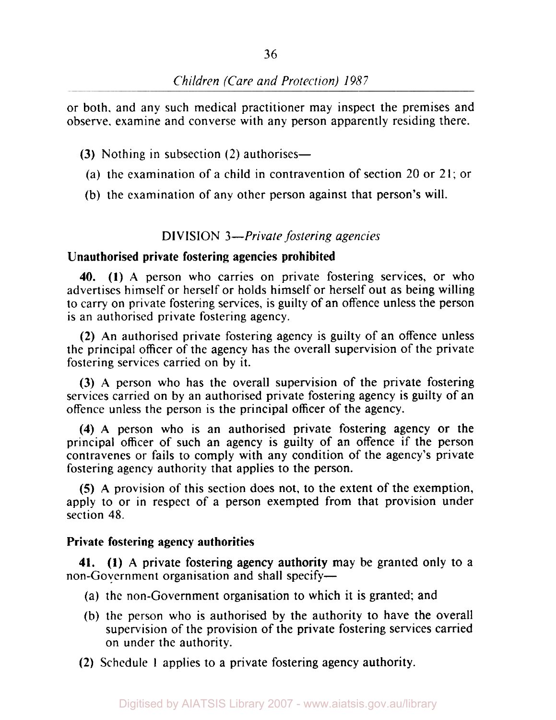or both. and any such medical practitioner may inspect the premises and observe. examine and converse with any person apparently residing there.

- **(3)** Nothing in subsection (2) authorises—
	- (a) the examination of a child in contravention of section 20 or 21; or
- (b) the examination of any other person against that person's will.

### **DIVISION 3-** *Private fostering agencies*

#### **Unauthorised private fostering agencies prohibited**

**40. (1) A** person who carries on private fostering services, or who advertises himself or herself or holds himself or herself out as being willing to carry on private fostering services, is guilty of an offence unless the person is an authorised private fostering agency.

**(2)** An authorised private fostering agency is guilty of an offence unless the principal officer of the agency has the overall supervision of the private fostering services carried on by it.

**(3) A** person who has the overall supervision of the private fostering services carried on by an authorised private fostering agency is guilty of an offence unless the person is the principal officer of the agency.

**(4)** A person who **is** an authorised private fostering agency or the principal officer of such an agency is guilty of an offence if the person contravenes or fails to comply with any condition of the agency's private fostering agency authority that applies to the person.

*(5)* A provision of this section does not, to the extent of the exemption, apply to or in respect of a person exempted from that provision under section **48.** 

#### **Private fostering agency authorities**

non-Government organisation and shall specify-**41. (1) A** private fostering agency authority may be granted only to a

- (a) the non-Government organisation to which it is granted; and
- (b) the person who is authorised by the authority to have the overall supervision of the provision of the private fostering services carried on under the authority.
- **(2)** Schedule **I** applies to a private fostering agency authority.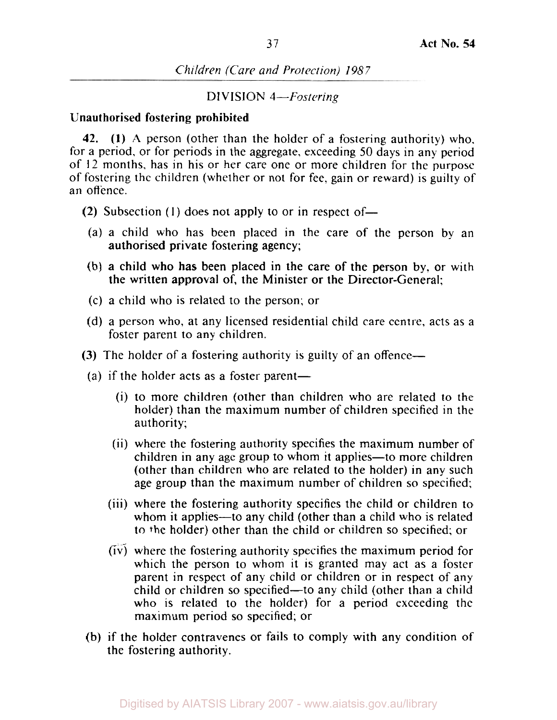## DIVISION 4-Fostering

### **Unauthorised fostering prohibited**

**42. (1) A** person (other than the holder of a fostering authority) who, for a period, or for periods in the aggregate, exceeding 50 days in any period of 12 months, has in his or her care one or more children for the purpose of fostering the children (whether or not for fee, gain or reward) is guilty of an offence.

- **(2)** Subsection **(1)** does not apply to or in respect of-
- (a) a child who has been placed in the care of the person by an authorised private fostering agency;
- (b) a child who has been placed in the care of the person by. or with the written approval of, the Minister or the Director-General;
- (c) a child who is related to the person; or
- (d) a person who, at any licensed residential child care centre, acts as a foster parent to any children.
- **(3)** The holder of a fostering authority is guilty of an offence—
- (a) if the holder acts as a foster parent-
	- (i) to more children (other than children who are related to the holder) than the maximum number of children specified in the authority;
	- (ii) where the fostering authority specifies the maximum number of children in any age group to whom it applies—to more children (other than children who are related to the holder) in any such age group than the maximum number of children so specified;
	- (iii) where the fostering authority specifies the child or children to whom it applies—to any child (other than a child who is related to the holder) other than the child or children so specified; or
	- (iv) where the fostering authority specifies the maximum period for which the person to whom it is granted may act as a foster parent in respect of any child or children or in respect of any child or children so specified-to any child (other than a child who is related to the holder) for a period exceeding the maximum period so specified; or
- (b) if the holder contravenes or fails to comply with any condition of the fostering authority.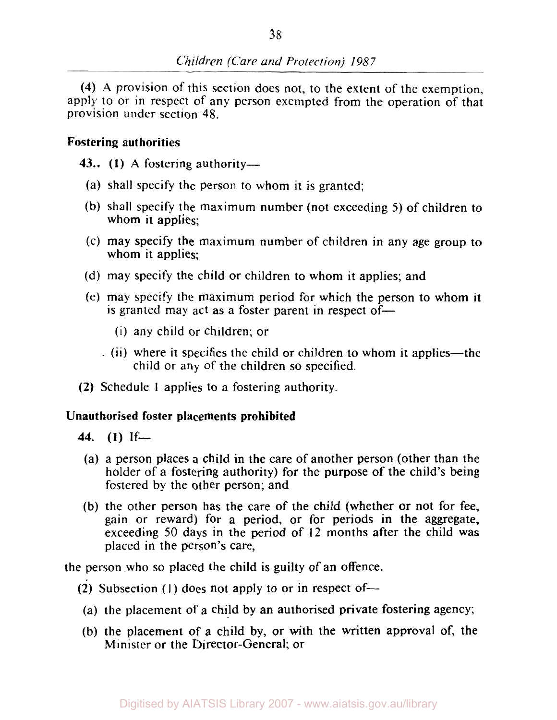**(4) A** provision of this section does not, to the extent of the exemption, apply to or in respect of any person exempted from the operation of that provision under section **48.** 

# Fostering authorities

43.. (1) A fostering authority-

- (a) shall specify the person to whom it is granted;
- (b) shall specify the maximum number (not exceeding 5) of children to whom it applies:
- (c) may specify the maximum number of children in any age group to whom it applies:
- (d) may specify the child or children to whom it applies; and
- (e) may specify the maximum period for which the person to whom it is granted may act as a foster parent in respect of-
	- (i) any child or children; or
	- (ii) where it specifies the child or children to whom it applies—the child or any of the children so specified.
- (2) Schedule **1** applies to a fostering authority.

# Unauthorised foster placements prohibited

- **44. (1)** If-
- (a) a person places a child in the care of another person (other than the holder of a fostering authority) for the purpose of the child's being fostered by the other person; and
- (b) the other person has the care of the child (whether or not for fee, gain or reward) for a period, or for periods in the aggregate, exceeding 50 days in the period of 12 months after the child was placed in the person's care,

the person who so placed the child is guilty of an offence.

- (2) Subsection (1) does not apply to or in respect of-
- (a) the placement of a child by an authorised private fostering agency;
- (b) the placement of a child by, or with the written approval of, the Minister or the Director-General; or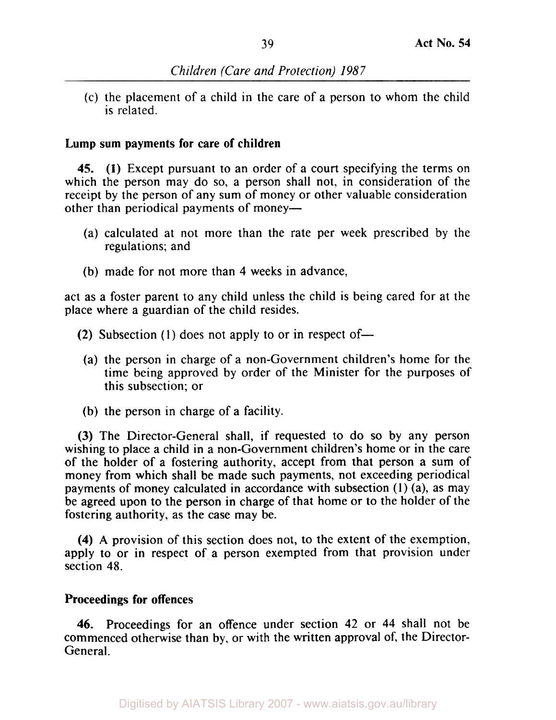(c) the placement of a child in the care of a person to whom the child is related.

## **Lump sum payments for care of children**

**45. (1)** Except pursuant to an order of a court specifying the terms on which the person may do so, a person shall not, in consideration of the receipt by the person of any sum of money or other valuable consideration other than periodical payments of money—

- (a) calculated at not more than the rate per week prescribed by the regulations; and
- (b) made for not more than **4** weeks in advance,

act as a foster parent to any child unless the child is being cared for at the place where a guardian of the child resides.

- (2) Subsection  $(1)$  does not apply to or in respect of-
	- (a) the person in charge of a non-Government children's home for the time being approved by order of the Minister for the purposes of this subsection; or
- (b) the person in charge of a facility.

(3) The Director-General shall, if requested to do so by any person wishing to place a child in a non-Government children's home or in the care of the holder of a fostering authority, accept from that person a sum of money from which shall be made such payments, not exceeding periodical payments of money calculated in accordance with subsection (1) (a), as may be agreed upon to the person in charge of that home or to the holder of the fostering authority, as the case may be.

**(4) A** provision of this section does not, to the extent of the exemption, apply to or in respect of a person exempted from that provision under section **48.** 

## **Proceedings for offences**

**46.** Proceedings for an offence under section 42 or **44** shall not be commenced otherwise than by, or with the written approval of, the Director-General.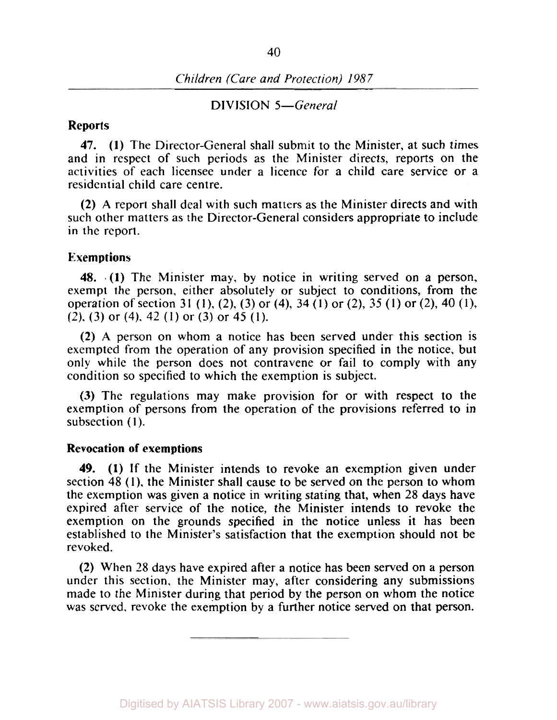#### DIVISION 5-General

#### **Reports**

**47. (1)** The Director-General shall submit to the Minister, at such times and in respect of such periods as the Minister directs, reports on the activities of each licensee under a licence for a child care service or a residential child care centre.

(2) **A** report shall deal with such matters as the Minister directs and with such other matters as the Director-General considers appropriate to include in the report.

#### **Exemptions**

**48. (1)** The Minister may, by notice in writing served on a person, exempt the person, either absolutely or subject to conditions, from the operation of section 31 **(1),** (2), **(3)** or **(4), 34 (1)** or (2), **35 (1)** or (2), **40 (1),**  (2). (3) or (4). 42 (1) or (3) or **45** (1).

(2) **A** person on whom a notice has been served under this section is exempted from the operation of any provision specified in the notice, but only while the person does not contravene or fail to comply with any condition so specified to which the exemption is subject.

(3) The regulations may make provision for or with respect to the exemption of persons from the operation of the provisions referred to in subsection **(1).** 

### **Revocation of exemptions**

**(1)** If the Minister intends to revoke an exemption given under **49.**  section **48 (1),** the Minister shall cause to be served on the person to whom the exemption was given a notice in writing stating that, when 28 days have expired after service of the notice, the Minister intends to revoke the exemption on the grounds specified in the notice unless it has been established to the Minister's satisfaction that the exemption should not be revoked.

(2) When 28 days have expired after a notice has been served on a person under this section, the Minister may, after considering any submissions made to the Minister during that period by the person on whom the notice was served, revoke the exemption by a further notice served on that person.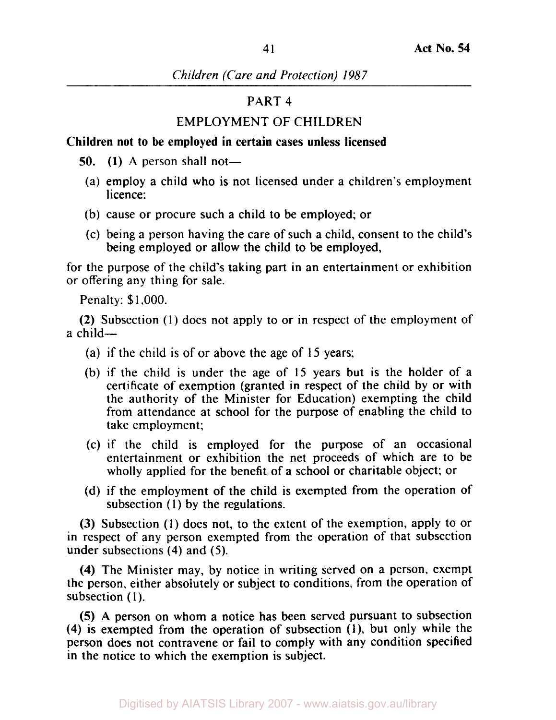# PART **4**

# EMPLOYMENT OF CHILDREN

# **Children not to be employed in certain cases unless licensed**

- **50. (1)** A person shall not
	- licence: (a) employ a child who is not licensed under a children's employment
	- (b) cause or procure such a child to be employed; or
	- (c) being a person having the care of such a child, consent to the child's being employed or allow the child to be employed,

for the purpose of the child's taking part in an entertainment or exhibition or offering any thing for sale.

Penalty: \$1,000.

(2) Subsection (1) does not apply to or in respect of the employment of a child-

- (a) if the child is of or above the age of 15 years;
- (b) if the child is under the age of 15 years but is the holder of a certificate of exemption (granted in respect of the child by or with the authority of the Minister for Education) exempting the child from attendance at school for the purpose of enabling the child to take employment;
- (c) if the child is employed for the purpose of an occasional entertainment or exhibition the net proceeds of which are to be wholly applied for the benefit of a school or charitable object; or
- (d) if the employment of the child is exempted from the operation of subsection **(1)** by the regulations.

(3) Subsection (1) does not, to the extent of the exemption, apply to or in respect of any person exempted from the operation of that subsection under subsections **(4)** and (5).

**(4)** The Minister may, by notice in writing served on a person, exempt the person, either absolutely or subject to conditions, from the operation of subsection (I).

*(5)* **A** person on whom a notice has been served pursuant to subsection **(4)** is exempted from the operation of subsection **(1),** but only while the person does not contravene or fail to comply with any condition specified in the notice to which the exemption is subject.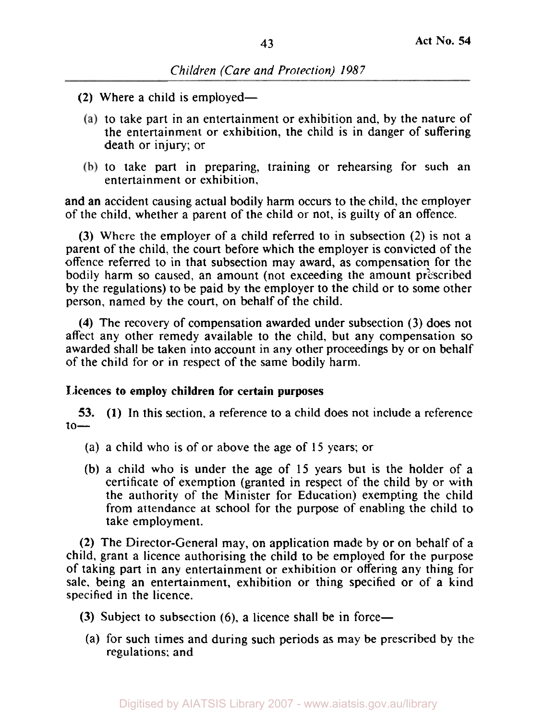- (2) Where a child is employed-
	- $(a)$  to take part in an entertainment or exhibition and, by the nature of the entertainment or exhibition, the child is in danger of suffering death or injury; or
	- (b) to take part in preparing, training or rehearsing for such an entertainment **or** exhibition,

and an accident causing actual bodily harm occurs to the child, the employer of the child, whether a parent of the child or not, is guilty of an offence.

**(3)** Where the employer of a child referred to in subsection (2) is not a parent of the child, the court before which the employer is convicted of the offence referred to in that subsection may award, as compensation for the bodily harm so caused, an amount (not exceeding the amount prescribed by the regulations) to be paid by the employer to the child or to some other person, named by the court, on behalf of the child.

**(4)** The recovery of compensation awarded under subsection **(3)** does not affect any other remedy available to the child, but any compensation so awarded shall be taken into account in any other proceedings by or on behalf of the child for or in respect of the same bodily harm.

# **Licences** to **employ children for certain purposes**

**53. (1)** In this section, a reference to a child does not include a reference to-

- (a) a child who **is** of or above the age of 15 years; or
- (b) a child who is under the age of **15** years but is the holder of a certificate of exemption (granted in respect of the child by or with the authority of the Minister for Education) exempting the child from attendance at school for the purpose of enabling the child to take employment.

**(2)** The Director-General may, on application made by or on behalf of a child, grant a licence authorising the child to be employed for the purpose of taking part in any entertainment or exhibition or offering any thing for sale, being an entertainment, exhibition or thing specified or of a kind specified in the licence.

- **(3)** Subject to subsection (6), a licence shall be in force—
- (a) for such times and during such periods as may be prescribed by the regulations: and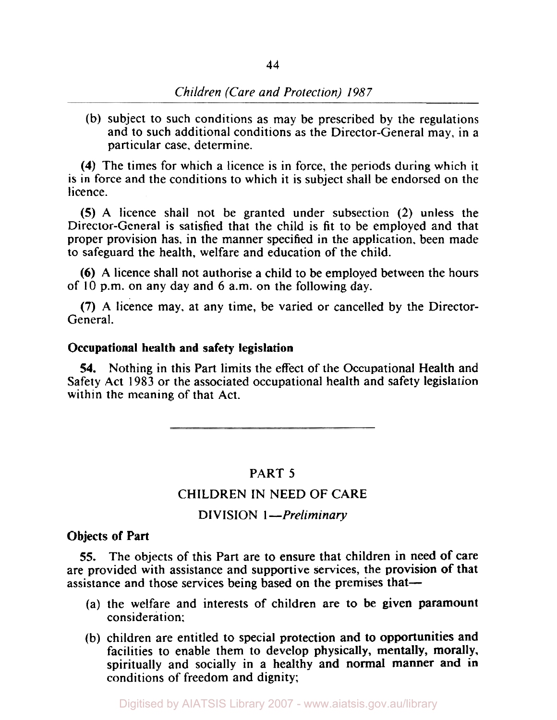(b) subject to such conditions as may be prescribed by the regulations and to such additional conditions as the Director-General may, in a particular case. determine.

**(4)** The times for which a licence is in force, the periods during which it is in force and the conditions to which it is subject shall be endorsed on the licence.

*(5)* A licence shall not be granted under subsection (2) unless the Director-General is satisfied that the child is fit to be employed and that proper provision has, in the manner specified in the application, been made to safeguard the health, welfare and education of the child.

*(6)* A licence shall not authorise a child to be employed between the hours of **10** p.m. on any day and 6 a.m. on the following day.

**(7)** A licence may, at any time, be varied or cancelled by the Director-General.

## Occupational health and safety legislation

**54.** Nothing in this Part limits the effect of the Occupational Health and Safety Act I983 or the associated occupational health and safety legislation within the meaning of that Act.

## PART *5*

## CHILDREN IN NEED OF CARE

### DIVISION **1** *--Preliminary*

### Objects of Part

*55.* The objects of this Part are to ensure that children in need of care are provided with assistance and supportive services, the provision of that assistance and those services being based on the premises that-

- (a) the welfare and interests of children are to be given paramount consideration;
- (b) children are entitled to special protection and to opportunities and facilities to enable them to develop physically, mentally, morally, spiritually and socially in a healthy and normal manner and in conditions of freedom and dignity;

Digitised by AIATSIS Library 2007 - www.aiatsis.gov.au/library